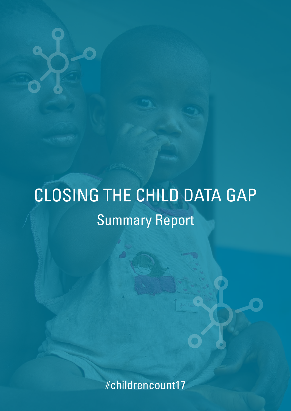# CLOSING THE CHILD DATA GAP Summary Report

#childrencount17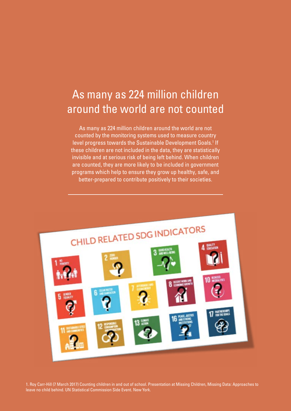# As many as 224 million children around the world are not counted

As many as 224 million children around the world are not counted by the monitoring systems used to measure country level progress towards the Sustainable Development Goals.<sup>1</sup> If these children are not included in the data, they are statistically invisible and at serious risk of being left behind. When children are counted, they are more likely to be included in government programs which help to ensure they grow up healthy, safe, and better-prepared to contribute positively to their societies.



1. Roy Carr-Hill (7 March 2017) Counting children in and out of school. Presentation at Missing Children, Missing Data: Approaches to leave no child behind. UN Statistical Commission Side Event. New York.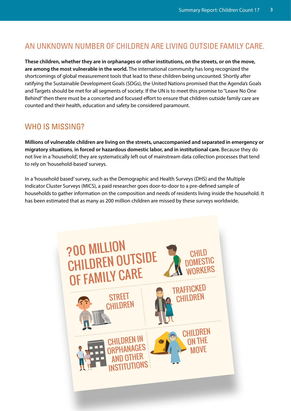## AN UNKNOWN NUMBER OF CHILDREN ARE LIVING OUTSIDE FAMILY CARE.

**These children, whether they are in orphanages or other institutions, on the streets, or on the move, are among the most vulnerable in the world.** The international community has long recognized the shortcomings of global measurement tools that lead to these children being uncounted. Shortly after ratifying the Sustainable Development Goals (SDGs), the United Nations promised that the Agenda's Goals and Targets should be met for all segments of society. If the UN is to meet this promise to "Leave No One Behind" then there must be a concerted and focused effort to ensure that children outside family care are counted and their health, education and safety be considered paramount.

## WHO IS MISSING?

**Millions of vulnerable children are living on the streets, unaccompanied and separated in emergency or migratory situations**, **in forced or hazardous domestic labor, and in institutional care.** Because they do not live in a 'household', they are systematically left out of mainstream data collection processes that tend to rely on 'household-based' surveys.

In a 'household based' survey, such as the Demographic and Health Surveys (DHS) and the Multiple Indicator Cluster Surveys (MICS), a paid researcher goes door-to-door to a pre-defined sample of households to gather information on the composition and needs of residents living inside the household. It has been estimated that as many as 200 million children are missed by these surveys worldwide.

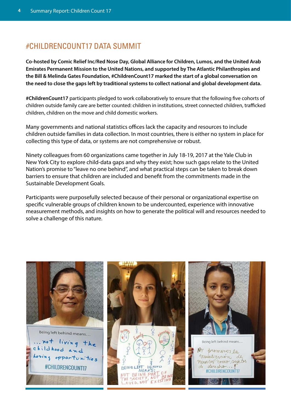## #CHILDRENCOUNT17 DATA SUMMIT

**Co-hosted by Comic Relief Inc/Red Nose Day, Global Alliance for Children, Lumos, and the United Arab Emirates Permanent Mission to the United Nations, and supported by The Atlantic Philanthropies and the Bill & Melinda Gates Foundation, #ChildrenCount17 marked the start of a global conversation on the need to close the gaps left by traditional systems to collect national and global development data.**

**#ChildrenCount17** participants pledged to work collaboratively to ensure that the following five cohorts of children outside family care are better counted: children in institutions, street connected children, trafficked children, children on the move and child domestic workers.

Many governments and national statistics offices lack the capacity and resources to include children outside families in data collection. In most countries, there is either no system in place for collecting this type of data, or systems are not comprehensive or robust.

Ninety colleagues from 60 organizations came together in July 18-19, 2017 at the Yale Club in New York City to explore child-data gaps and why they exist; how such gaps relate to the United Nation's promise to "leave no one behind", and what practical steps can be taken to break down barriers to ensure that children are included and benefit from the commitments made in the Sustainable Development Goals.

Participants were purposefully selected because of their personal or organizational expertise on specific vulnerable groups of children known to be undercounted, experience with innovative measurement methods, and insights on how to generate the political will and resources needed to solve a challenge of this nature.

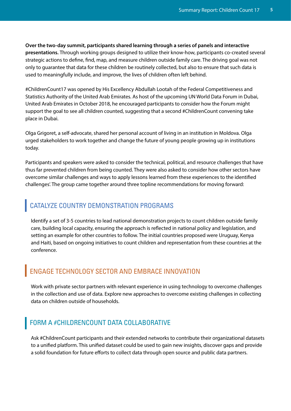**Over the two-day summit, participants shared learning through a series of panels and interactive presentations.** Through working groups designed to utilize their know-how, participants co-created several strategic actions to define, find, map, and measure children outside family care. The driving goal was not only to guarantee that data for these children be routinely collected, but also to ensure that such data is used to meaningfully include, and improve, the lives of children often left behind.

#ChildrenCount17 was opened by His Excellency Abdullah Lootah of the Federal Competitiveness and Statistics Authority of the United Arab Emirates. As host of the upcoming UN World Data Forum in Dubai, United Arab Emirates in October 2018, he encouraged participants to consider how the Forum might support the goal to see all children counted, suggesting that a second #ChildrenCount convening take place in Dubai.

Olga Grigoret, a self-advocate, shared her personal account of living in an institution in Moldova. Olga urged stakeholders to work together and change the future of young people growing up in institutions today.

Participants and speakers were asked to consider the technical, political, and resource challenges that have thus far prevented children from being counted. They were also asked to consider how other sectors have overcome similar challenges and ways to apply lessons learned from these experiences to the identified challenges'. The group came together around three topline recommendations for moving forward:

## CATALYZE COUNTRY DEMONSTRATION PROGRAMS

Identify a set of 3-5 countries to lead national demonstration projects to count children outside family care, building local capacity, ensuring the approach is reflected in national policy and legislation, and setting an example for other countries to follow. The initial countries proposed were Uruguay, Kenya and Haiti, based on ongoing initiatives to count children and representation from these countries at the conference.

# ENGAGE TECHNOLOGY SECTOR AND EMBRACE INNOVATION

Work with private sector partners with relevant experience in using technology to overcome challenges in the collection and use of data. Explore new approaches to overcome existing challenges in collecting data on children outside of households.

### FORM A #CHILDRENCOUNT DATA COLLABORATIVE

Ask #ChildrenCount participants and their extended networks to contribute their organizational datasets to a unified platform. This unified dataset could be used to gain new insights, discover gaps and provide a solid foundation for future efforts to collect data through open source and public data partners.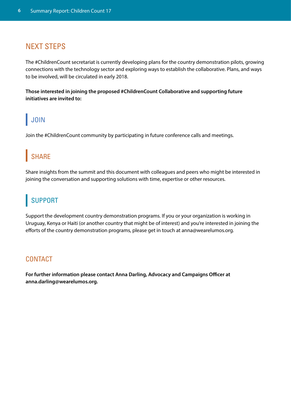## NEXT STEPS

The #ChildrenCount secretariat is currently developing plans for the country demonstration pilots, growing connections with the technology sector and exploring ways to establish the collaborative. Plans, and ways to be involved, will be circulated in early 2018.

**Those interested in joining the proposed #ChildrenCount Collaborative and supporting future initiatives are invited to:**

# JOIN

Join the #ChildrenCount community by participating in future conference calls and meetings.

# **SHARE**

Share insights from the summit and this document with colleagues and peers who might be interested in joining the conversation and supporting solutions with time, expertise or other resources.

# **SUPPORT**

Support the development country demonstration programs. If you or your organization is working in Uruguay, Kenya or Haiti (or another country that might be of interest) and you're interested in joining the efforts of the country demonstration programs, please get in touch at anna@wearelumos.org.

#### **CONTACT**

**For further information please contact Anna Darling, Advocacy and Campaigns Officer at anna.darling@wearelumos.org.**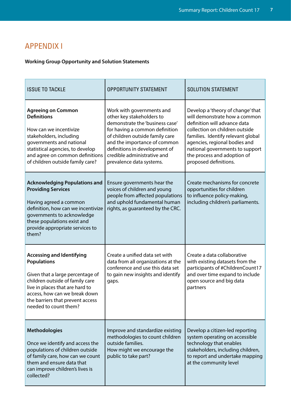# APPENDIX I

#### **Working Group Opportunity and Solution Statements**

| <b>ISSUE TO TACKLE</b>                                                                                                                                                                                                                                         | <b>OPPORTUNITY STATEMENT</b>                                                                                                                                                                                                                                                               | <b>SOLUTION STATEMENT</b>                                                                                                                                                                                                                                                                              |
|----------------------------------------------------------------------------------------------------------------------------------------------------------------------------------------------------------------------------------------------------------------|--------------------------------------------------------------------------------------------------------------------------------------------------------------------------------------------------------------------------------------------------------------------------------------------|--------------------------------------------------------------------------------------------------------------------------------------------------------------------------------------------------------------------------------------------------------------------------------------------------------|
| <b>Agreeing on Common</b><br><b>Definitions</b><br>How can we incentivize<br>stakeholders, including<br>governments and national<br>statistical agencies, to develop<br>and agree on common definitions<br>of children outside family care?                    | Work with governments and<br>other key stakeholders to<br>demonstrate the 'business case'<br>for having a common definition<br>of children outside family care<br>and the importance of common<br>definitions in development of<br>credible administrative and<br>prevalence data systems. | Develop a 'theory of change' that<br>will demonstrate how a common<br>definition will advance data<br>collection on children outside<br>families. Identify relevant global<br>agencies, regional bodies and<br>national governments to support<br>the process and adoption of<br>proposed definitions. |
| <b>Acknowledging Populations and</b><br><b>Providing Services</b><br>Having agreed a common<br>definition, how can we incentivize<br>governments to acknowledge<br>these populations exist and<br>provide appropriate services to<br>them?                     | Ensure governments hear the<br>voices of children and young<br>people from affected populations<br>and uphold fundamental human<br>rights, as guaranteed by the CRC.                                                                                                                       | Create mechanisms for concrete<br>opportunities for children<br>to influence policy-making,<br>including children's parliaments.                                                                                                                                                                       |
| <b>Accessing and Identifying</b><br><b>Populations</b><br>Given that a large percentage of<br>children outside of family care<br>live in places that are hard to<br>access, how can we break down<br>the barriers that prevent access<br>needed to count them? | Create a unified data set with<br>data from all organizations at the<br>conference and use this data set<br>to gain new insights and identify<br>gaps.                                                                                                                                     | Create a data collaborative<br>with existing datasets from the<br>participants of #ChildrenCount17<br>and over time expand to include<br>open source and big data<br>partners                                                                                                                          |
| <b>Methodologies</b><br>Once we identify and access the<br>populations of children outside<br>of family care, how can we count<br>them and ensure data that<br>can improve children's lives is<br>collected?                                                   | Improve and standardize existing<br>methodologies to count children<br>outside families.<br>How might we encourage the<br>public to take part?                                                                                                                                             | Develop a citizen-led reporting<br>system operating on accessible<br>technology that enables<br>stakeholders, including children,<br>to report and undertake mapping<br>at the community level                                                                                                         |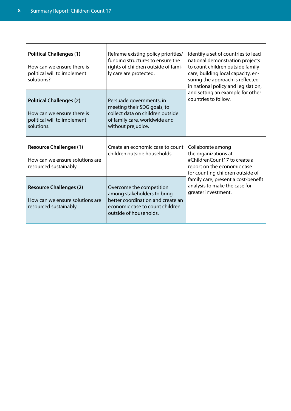| <b>Political Challenges (1)</b><br>How can we ensure there is<br>political will to implement<br>solutions? | Reframe existing policy priorities/<br>funding structures to ensure the<br>rights of children outside of fami-<br>ly care are protected.                  | Identify a set of countries to lead<br>national demonstration projects<br>to count children outside family<br>care, building local capacity, en-<br>suring the approach is reflected<br>in national policy and legislation, |
|------------------------------------------------------------------------------------------------------------|-----------------------------------------------------------------------------------------------------------------------------------------------------------|-----------------------------------------------------------------------------------------------------------------------------------------------------------------------------------------------------------------------------|
| <b>Political Challenges (2)</b><br>How can we ensure there is<br>political will to implement<br>solutions. | Persuade governments, in<br>meeting their SDG goals, to<br>collect data on children outside<br>of family care, worldwide and<br>without prejudice.        | and setting an example for other<br>countries to follow.                                                                                                                                                                    |
| <b>Resource Challenges (1)</b><br>How can we ensure solutions are<br>resourced sustainably.                | Create an economic case to count<br>children outside households.                                                                                          | Collaborate among<br>the organizations at<br>#ChildrenCount17 to create a<br>report on the economic case<br>for counting children outside of                                                                                |
| <b>Resource Challenges (2)</b><br>How can we ensure solutions are<br>resourced sustainably.                | Overcome the competition<br>among stakeholders to bring<br>better coordination and create an<br>economic case to count children<br>outside of households. | family care; present a cost-benefit<br>analysis to make the case for<br>greater investment.                                                                                                                                 |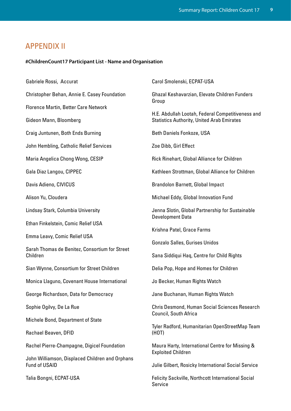# APPENDIX II

#### **#ChildrenCount17 Participant List - Name and Organisation**

| Gabriele Rossi, Accurat                                          | Carol Smolenski, ECPAT-USA                                                                                |  |
|------------------------------------------------------------------|-----------------------------------------------------------------------------------------------------------|--|
| Christopher Behan, Annie E. Casey Foundation                     | Ghazal Keshavarzian, Elevate Children Funders<br>Group                                                    |  |
| <b>Florence Martin, Better Care Network</b>                      |                                                                                                           |  |
| Gideon Mann, Bloomberg                                           | H.E. Abdullah Lootah, Federal Competitiveness and<br><b>Statistics Authority, United Arab Emirates</b>    |  |
| Craig Juntunen, Both Ends Burning                                | <b>Beth Daniels Fonkoze, USA</b>                                                                          |  |
| John Hembling, Catholic Relief Services                          | Zoe Dibb, Girl Effect                                                                                     |  |
| Maria Angelica Chong Wong, CESIP                                 | Rick Rinehart, Global Alliance for Children                                                               |  |
| Gala Diaz Langou, CIPPEC                                         | Kathleen Strottman, Global Alliance for Children                                                          |  |
| Davis Adieno, CIVICUS                                            | Brandolon Barnett, Global Impact                                                                          |  |
| Alison Yu, Cloudera                                              | Michael Eddy, Global Innovation Fund                                                                      |  |
| Lindsay Stark, Columbia University                               | Jenna Slotin, Global Partnership for Sustainable<br><b>Development Data</b><br>Krishna Patel, Grace Farms |  |
| Ethan Finkelstein, Comic Relief USA                              |                                                                                                           |  |
| Emma Leavy, Comic Relief USA                                     |                                                                                                           |  |
| Sarah Thomas de Benitez, Consortium for Street                   | Gonzalo Salles, Gurises Unidos                                                                            |  |
| Children                                                         | Sana Siddiqui Haq, Centre for Child Rights                                                                |  |
| Sian Wynne, Consortium for Street Children                       | Delia Pop, Hope and Homes for Children                                                                    |  |
| Monica Llaguno, Covenant House International                     | Jo Becker, Human Rights Watch                                                                             |  |
| George Richardson, Data for Democracy                            | Jane Buchanan, Human Rights Watch                                                                         |  |
| Sophie Ogilvy, De La Rue                                         | Chris Desmond, Human Social Sciences Research                                                             |  |
| Michele Bond, Department of State                                | Council, South Africa                                                                                     |  |
| Rachael Beaven, DFID                                             | Tyler Radford, Humanitarian OpenStreetMap Team<br>(HOT)                                                   |  |
| Rachel Pierre-Champagne, Digicel Foundation                      | Maura Harty, International Centre for Missing &<br><b>Exploited Children</b>                              |  |
| John Williamson, Displaced Children and Orphans<br>Fund of USAID | Julie Gilbert, Rosicky International Social Service                                                       |  |
| Talia Bongni, ECPAT-USA                                          | <b>Felicity Sackville, Northcott International Social</b><br>Service                                      |  |